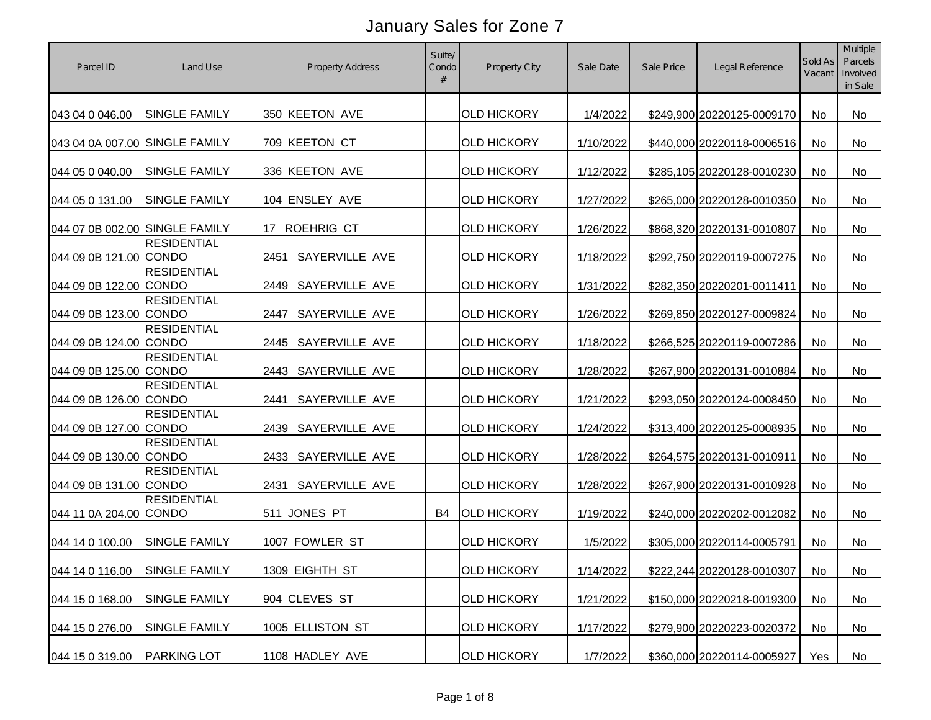| Parcel ID                      | Land Use                           | <b>Property Address</b> | Suite/<br>Condo | <b>Property City</b> | Sale Date | Sale Price | Legal Reference            | Sold As<br>Vacant | <b>Multiple</b><br>Parcels<br>Involved<br>in Sale |
|--------------------------------|------------------------------------|-------------------------|-----------------|----------------------|-----------|------------|----------------------------|-------------------|---------------------------------------------------|
| 043 04 0 046.00                | <b>SINGLE FAMILY</b>               | 350 KEETON AVE          |                 | <b>OLD HICKORY</b>   | 1/4/2022  |            | \$249,900 20220125-0009170 | No                | No                                                |
| 043 04 0A 007.00 SINGLE FAMILY |                                    | 709 KEETON CT           |                 | <b>OLD HICKORY</b>   | 1/10/2022 |            | \$440,000 20220118-0006516 | No                | <b>No</b>                                         |
| 044 05 0 040.00                | <b>SINGLE FAMILY</b>               | 336 KEETON AVE          |                 | <b>OLD HICKORY</b>   | 1/12/2022 |            | \$285,105 20220128-0010230 | No                | No                                                |
| 044 05 0 131.00                | SINGLE FAMILY                      | 104 ENSLEY AVE          |                 | <b>OLD HICKORY</b>   | 1/27/2022 |            | \$265,000 20220128-0010350 | No                | No                                                |
| 044 07 0B 002.00 SINGLE FAMILY |                                    | 17 ROEHRIG CT           |                 | <b>OLD HICKORY</b>   | 1/26/2022 |            | \$868,320 20220131-0010807 | No                | <b>No</b>                                         |
| 044 09 0B 121.00               | <b>RESIDENTIAL</b><br><b>CONDO</b> | SAYERVILLE AVE<br>2451  |                 | <b>OLD HICKORY</b>   | 1/18/2022 |            | \$292,750 20220119-0007275 | No                | No                                                |
| 044 09 0B 122.00               | <b>RESIDENTIAL</b><br><b>CONDO</b> | SAYERVILLE AVE<br>2449  |                 | <b>OLD HICKORY</b>   | 1/31/2022 |            | \$282,350 20220201-0011411 | No                | No                                                |
| 044 09 0B 123.00               | <b>RESIDENTIAL</b><br><b>CONDO</b> | SAYERVILLE AVE<br>2447  |                 | <b>OLD HICKORY</b>   | 1/26/2022 |            | \$269,850 20220127-0009824 | No                | <b>No</b>                                         |
| 044 09 0B 124.00 CONDO         | <b>RESIDENTIAL</b>                 | 2445 SAYERVILLE AVE     |                 | <b>OLD HICKORY</b>   | 1/18/2022 |            | \$266,525 20220119-0007286 | No                | <b>No</b>                                         |
| 044 09 0B 125.00 CONDO         | <b>RESIDENTIAL</b>                 | 2443 SAYERVILLE AVE     |                 | <b>OLD HICKORY</b>   | 1/28/2022 |            | \$267,900 20220131-0010884 | No                | <b>No</b>                                         |
| 044 09 0B 126.00 CONDO         | <b>RESIDENTIAL</b>                 | SAYERVILLE AVE<br>2441  |                 | <b>OLD HICKORY</b>   | 1/21/2022 |            | \$293,050 20220124-0008450 | No                | <b>No</b>                                         |
| 044 09 0B 127.00 CONDO         | <b>RESIDENTIAL</b>                 | SAYERVILLE AVE<br>2439  |                 | <b>OLD HICKORY</b>   | 1/24/2022 |            | \$313,400 20220125-0008935 | No                | <b>No</b>                                         |
| 044 09 0B 130.00 CONDO         | <b>RESIDENTIAL</b>                 | SAYERVILLE AVE<br>2433  |                 | <b>OLD HICKORY</b>   | 1/28/2022 |            | \$264,575 20220131-0010911 | No                | <b>No</b>                                         |
| 044 09 0B 131.00 CONDO         | <b>RESIDENTIAL</b>                 | SAYERVILLE AVE<br>2431  |                 | <b>OLD HICKORY</b>   | 1/28/2022 |            | \$267,900 20220131-0010928 | No                | <b>No</b>                                         |
| 044 11 0A 204.00 CONDO         | <b>RESIDENTIAL</b>                 | 511 JONES PT            | B4              | <b>OLD HICKORY</b>   | 1/19/2022 |            | \$240,000 20220202-0012082 | No                | <b>No</b>                                         |
| 044 14 0 100.00                | <b>SINGLE FAMILY</b>               | 1007 FOWLER ST          |                 | <b>OLD HICKORY</b>   | 1/5/2022  |            | \$305,000 20220114-0005791 | No                | <b>No</b>                                         |
| 044 14 0 116.00                | <b>SINGLE FAMILY</b>               | 1309 EIGHTH ST          |                 | <b>OLD HICKORY</b>   | 1/14/2022 |            | \$222,244 20220128-0010307 | No                | No                                                |
| 044 15 0 168.00                | SINGLE FAMILY                      | 904 CLEVES ST           |                 | <b>OLD HICKORY</b>   | 1/21/2022 |            | \$150,000 20220218-0019300 | No                | No                                                |
| 044 15 0 276.00                | SINGLE FAMILY                      | 1005 ELLISTON ST        |                 | <b>OLD HICKORY</b>   | 1/17/2022 |            | \$279,900 20220223-0020372 | No                | No                                                |
| 044 15 0 319.00                | <b>PARKING LOT</b>                 | 1108 HADLEY AVE         |                 | <b>OLD HICKORY</b>   | 1/7/2022  |            | \$360,000 20220114-0005927 | Yes               | No                                                |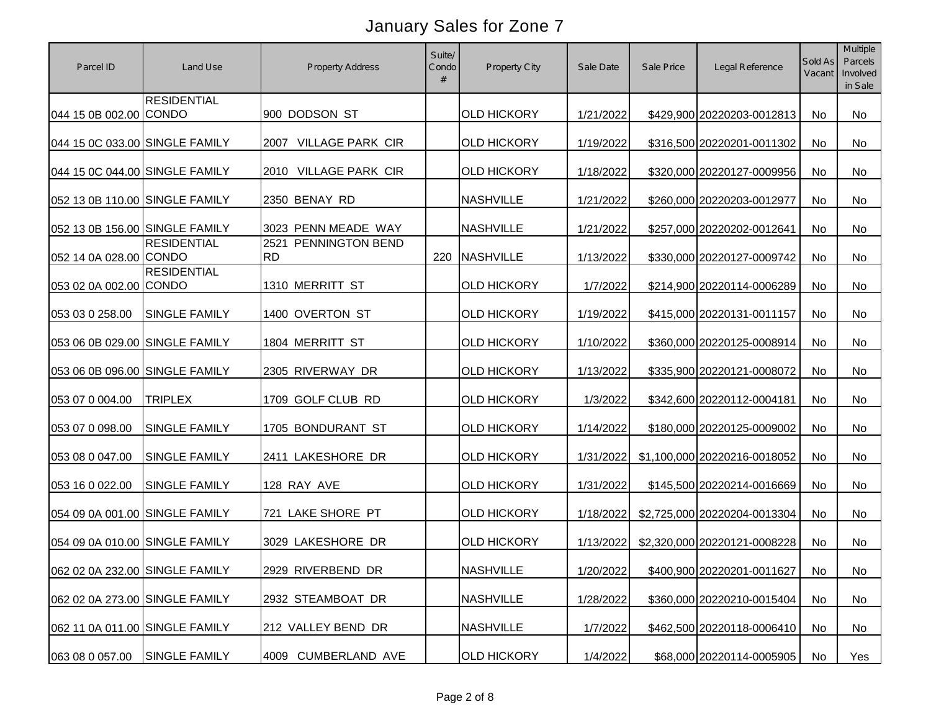| Parcel ID                      | Land Use             | <b>Property Address</b>           | Suite/<br>Condo | Property City      | Sale Date | Sale Price | Legal Reference               | Sold As<br>Vacant | Multiple<br>Parcels<br>Involved<br>in Sale |
|--------------------------------|----------------------|-----------------------------------|-----------------|--------------------|-----------|------------|-------------------------------|-------------------|--------------------------------------------|
| 044 15 0B 002.00 CONDO         | <b>RESIDENTIAL</b>   | 900 DODSON ST                     |                 | <b>OLD HICKORY</b> | 1/21/2022 |            | \$429,900 20220203-0012813    | No                | <b>No</b>                                  |
| 044 15 0C 033.00 SINGLE FAMILY |                      | <b>VILLAGE PARK CIR</b><br>2007   |                 | <b>OLD HICKORY</b> | 1/19/2022 |            | \$316,500 20220201-0011302    | No                | No                                         |
| 044 15 0C 044.00 SINGLE FAMILY |                      | 2010 VILLAGE PARK CIR             |                 | <b>OLD HICKORY</b> | 1/18/2022 |            | \$320,000 20220127-0009956    | <b>No</b>         | <b>No</b>                                  |
| 052 13 0B 110.00 SINGLE FAMILY |                      | 2350 BENAY RD                     |                 | <b>NASHVILLE</b>   | 1/21/2022 |            | \$260,000 20220203-0012977    | No                | No                                         |
| 052 13 0B 156.00 SINGLE FAMILY |                      | 3023 PENN MEADE WAY               |                 | <b>NASHVILLE</b>   | 1/21/2022 |            | \$257,000 20220202-0012641    | No.               | No                                         |
| 052 14 0A 028.00 CONDO         | <b>RESIDENTIAL</b>   | 2521 PENNINGTON BEND<br><b>RD</b> | 220             | <b>NASHVILLE</b>   | 1/13/2022 |            | \$330,000 20220127-0009742    | <b>No</b>         | No                                         |
| 053 02 0A 002.00 CONDO         | <b>RESIDENTIAL</b>   | 1310 MERRITT ST                   |                 | <b>OLD HICKORY</b> | 1/7/2022  |            | \$214,900 20220114-0006289    | No                | No                                         |
| 053 03 0 258.00                | SINGLE FAMILY        | 1400 OVERTON ST                   |                 | <b>OLD HICKORY</b> | 1/19/2022 |            | \$415,000 20220131-0011157    | No                | No                                         |
| 053 06 0B 029.00 SINGLE FAMILY |                      | 1804 MERRITT ST                   |                 | <b>OLD HICKORY</b> | 1/10/2022 |            | \$360,000 20220125-0008914    | No                | <b>No</b>                                  |
| 053 06 0B 096.00 SINGLE FAMILY |                      | 2305 RIVERWAY DR                  |                 | <b>OLD HICKORY</b> | 1/13/2022 |            | \$335,900 20220121-0008072    | <b>No</b>         | <b>No</b>                                  |
| 053 07 0 004.00                | <b>TRIPLEX</b>       | 1709 GOLF CLUB RD                 |                 | <b>OLD HICKORY</b> | 1/3/2022  |            | \$342,600 20220112-0004181    | <b>No</b>         | <b>No</b>                                  |
| 053 07 0 098.00                | <b>SINGLE FAMILY</b> | 1705 BONDURANT ST                 |                 | <b>OLD HICKORY</b> | 1/14/2022 |            | \$180,000 20220125-0009002    | No                | <b>No</b>                                  |
| 053 08 0 047.00                | SINGLE FAMILY        | 2411 LAKESHORE DR                 |                 | <b>OLD HICKORY</b> | 1/31/2022 |            | \$1,100,000 20220216-0018052  | No                | <b>No</b>                                  |
| 053 16 0 022.00                | <b>SINGLE FAMILY</b> | 128 RAY AVE                       |                 | <b>OLD HICKORY</b> | 1/31/2022 |            | \$145,500 20220214-0016669    | No                | No                                         |
| 054 09 0A 001.00 SINGLE FAMILY |                      | 721 LAKE SHORE PT                 |                 | <b>OLD HICKORY</b> | 1/18/2022 |            | \$2,725,000 20220204-0013304  | No                | <b>No</b>                                  |
| 054 09 0A 010.00 SINGLE FAMILY |                      | 3029 LAKESHORE DR                 |                 | <b>OLD HICKORY</b> | 1/13/2022 |            | \$2,320,000 20220121-0008228  | No                | No                                         |
| 062 02 0A 232.00 SINGLE FAMILY |                      | 2929 RIVERBEND DR                 |                 | NASHVILLE          | 1/20/2022 |            | \$400,900 20220201-0011627 No |                   | No                                         |
| 062 02 0A 273.00 SINGLE FAMILY |                      | 2932 STEAMBOAT DR                 |                 | <b>NASHVILLE</b>   | 1/28/2022 |            | \$360,000 20220210-0015404    | No                | No                                         |
| 062 11 0A 011.00 SINGLE FAMILY |                      | 212 VALLEY BEND DR                |                 | <b>NASHVILLE</b>   | 1/7/2022  |            | \$462,500 20220118-0006410    | No                | No                                         |
| 063 08 0 057.00                | SINGLE FAMILY        | 4009 CUMBERLAND AVE               |                 | <b>OLD HICKORY</b> | 1/4/2022  |            | \$68,000 20220114-0005905     | No                | Yes                                        |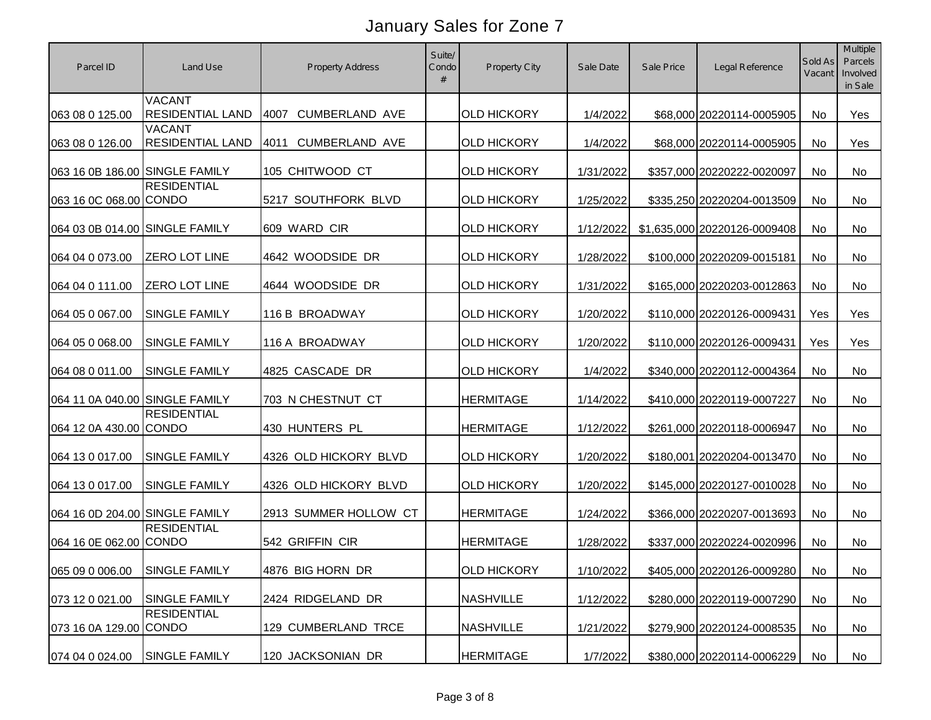| Parcel ID                      | Land Use                                 | Property Address              | Suite/<br>Condo | Property City      | Sale Date | Sale Price | Legal Reference              | Sold As<br>Vacant | Multiple<br>Parcels<br>Involved<br>in Sale |
|--------------------------------|------------------------------------------|-------------------------------|-----------------|--------------------|-----------|------------|------------------------------|-------------------|--------------------------------------------|
| 063 08 0 125.00                | <b>VACANT</b><br><b>RESIDENTIAL LAND</b> | CUMBERLAND AVE<br>4007        |                 | <b>OLD HICKORY</b> | 1/4/2022  |            | \$68,000 20220114-0005905    | No                | Yes                                        |
| 063 08 0 126.00                | <b>VACANT</b><br><b>RESIDENTIAL LAND</b> | <b>CUMBERLAND AVE</b><br>4011 |                 | <b>OLD HICKORY</b> | 1/4/2022  |            | \$68,000 20220114-0005905    | No                | Yes                                        |
| 063 16 0B 186.00 SINGLE FAMILY |                                          | 105 CHITWOOD CT               |                 | <b>OLD HICKORY</b> | 1/31/2022 |            | \$357,000 20220222-0020097   | No                | No                                         |
| 063 16 0C 068.00 CONDO         | <b>RESIDENTIAL</b>                       | 5217 SOUTHFORK BLVD           |                 | <b>OLD HICKORY</b> | 1/25/2022 |            | \$335,250 20220204-0013509   | No                | No                                         |
| 064 03 0B 014.00 SINGLE FAMILY |                                          | 609 WARD CIR                  |                 | <b>OLD HICKORY</b> | 1/12/2022 |            | \$1,635,000 20220126-0009408 | No                | <b>No</b>                                  |
| 064 04 0 073.00                | <b>ZERO LOT LINE</b>                     | 4642 WOODSIDE DR              |                 | <b>OLD HICKORY</b> | 1/28/2022 |            | \$100,000 20220209-0015181   | No                | No                                         |
| 064 04 0 111.00                | ZERO LOT LINE                            | 4644 WOODSIDE DR              |                 | <b>OLD HICKORY</b> | 1/31/2022 |            | \$165,000 20220203-0012863   | No                | No                                         |
| 064 05 0 067.00                | <b>SINGLE FAMILY</b>                     | 116 B BROADWAY                |                 | <b>OLD HICKORY</b> | 1/20/2022 |            | \$110,000 20220126-0009431   | Yes               | Yes                                        |
| 064 05 0 068.00                | <b>SINGLE FAMILY</b>                     | 116 A BROADWAY                |                 | <b>OLD HICKORY</b> | 1/20/2022 |            | \$110,000 20220126-0009431   | Yes               | Yes                                        |
| 064 08 0 011.00                | <b>SINGLE FAMILY</b>                     | 4825 CASCADE DR               |                 | <b>OLD HICKORY</b> | 1/4/2022  |            | \$340,000 20220112-0004364   | No                | No                                         |
| 064 11 0A 040.00 SINGLE FAMILY |                                          | 703 N CHESTNUT CT             |                 | <b>HERMITAGE</b>   | 1/14/2022 |            | \$410,000 20220119-0007227   | No                | <b>No</b>                                  |
| 064 12 0A 430.00 CONDO         | <b>RESIDENTIAL</b>                       | 430 HUNTERS PL                |                 | <b>HERMITAGE</b>   | 1/12/2022 |            | \$261,000 20220118-0006947   | No                | No                                         |
| 064 13 0 017.00                | <b>SINGLE FAMILY</b>                     | 4326 OLD HICKORY BLVD         |                 | <b>OLD HICKORY</b> | 1/20/2022 |            | \$180,001 20220204-0013470   | No                | No                                         |
| 064 13 0 017.00                | <b>SINGLE FAMILY</b>                     | 4326 OLD HICKORY BLVD         |                 | <b>OLD HICKORY</b> | 1/20/2022 |            | \$145,000 20220127-0010028   | No                | No                                         |
| 064 16 0D 204.00 SINGLE FAMILY |                                          | 2913 SUMMER HOLLOW CT         |                 | <b>HERMITAGE</b>   | 1/24/2022 |            | \$366,000 20220207-0013693   | No                | <b>No</b>                                  |
| 064 16 0E 062.00 CONDO         | <b>RESIDENTIAL</b>                       | 542 GRIFFIN CIR               |                 | <b>HERMITAGE</b>   | 1/28/2022 |            | \$337,000 20220224-0020996   | No                | <b>No</b>                                  |
| 065 09 0 006.00 SINGLE FAMILY  |                                          | 4876 BIG HORN DR              |                 | <b>OLD HICKORY</b> | 1/10/2022 |            | \$405,000 20220126-0009280   | No                | No                                         |
| 073 12 0 021.00                | <b>SINGLE FAMILY</b>                     | 2424 RIDGELAND DR             |                 | <b>NASHVILLE</b>   | 1/12/2022 |            | \$280,000 20220119-0007290   | No                | No                                         |
| 073 16 0A 129.00 CONDO         | <b>RESIDENTIAL</b>                       | 129 CUMBERLAND TRCE           |                 | <b>NASHVILLE</b>   | 1/21/2022 |            | \$279,900 20220124-0008535   | No                | No                                         |
| 074 04 0 024.00                | <b>SINGLE FAMILY</b>                     | 120 JACKSONIAN DR             |                 | <b>HERMITAGE</b>   | 1/7/2022  |            | \$380,000 20220114-0006229   | No                | No                                         |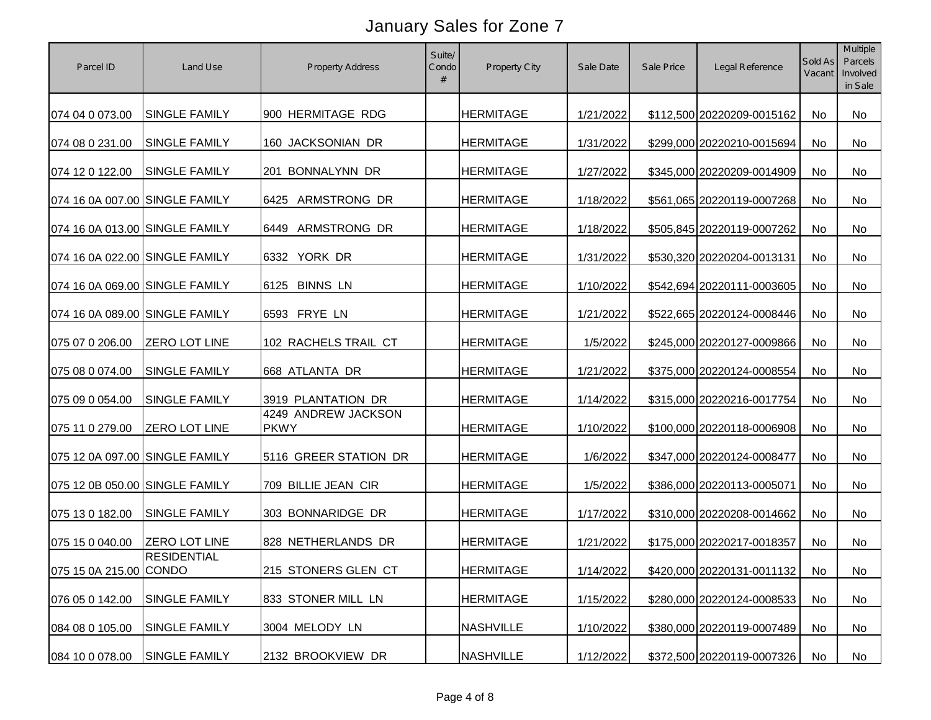| Parcel ID                      | Land Use             | <b>Property Address</b>            | Suite/<br>Condo | Property City    | Sale Date | Sale Price | Legal Reference            | Sold As<br>Vacant | Multiple<br>Parcels<br>Involved<br>in Sale |
|--------------------------------|----------------------|------------------------------------|-----------------|------------------|-----------|------------|----------------------------|-------------------|--------------------------------------------|
| 074 04 0 073.00                | <b>SINGLE FAMILY</b> | 900 HERMITAGE RDG                  |                 | <b>HERMITAGE</b> | 1/21/2022 |            | \$112,500 20220209-0015162 | No                | No                                         |
| 074 08 0 231.00                | SINGLE FAMILY        | 160 JACKSONIAN DR                  |                 | <b>HERMITAGE</b> | 1/31/2022 |            | \$299,000 20220210-0015694 | No                | No                                         |
| 074 12 0 122.00                | <b>SINGLE FAMILY</b> | 201 BONNALYNN DR                   |                 | <b>HERMITAGE</b> | 1/27/2022 |            | \$345,000 20220209-0014909 | No                | No                                         |
| 074 16 0A 007.00 SINGLE FAMILY |                      | ARMSTRONG DR<br>6425               |                 | <b>HERMITAGE</b> | 1/18/2022 |            | \$561,065 20220119-0007268 | No                | No                                         |
| 074 16 0A 013.00 SINGLE FAMILY |                      | ARMSTRONG DR<br>6449               |                 | <b>HERMITAGE</b> | 1/18/2022 |            | \$505,845 20220119-0007262 | No                | <b>No</b>                                  |
| 074 16 0A 022.00 SINGLE FAMILY |                      | YORK DR<br>6332                    |                 | <b>HERMITAGE</b> | 1/31/2022 |            | \$530,320 20220204-0013131 | No                | No                                         |
| 074 16 0A 069.00 SINGLE FAMILY |                      | <b>BINNS LN</b><br>6125            |                 | <b>HERMITAGE</b> | 1/10/2022 |            | \$542,694 20220111-0003605 | No                | No                                         |
| 074 16 0A 089.00 SINGLE FAMILY |                      | 6593 FRYE LN                       |                 | <b>HERMITAGE</b> | 1/21/2022 |            | \$522,665 20220124-0008446 | No                | No                                         |
| 075 07 0 206.00                | <b>ZERO LOT LINE</b> | 102 RACHELS TRAIL CT               |                 | <b>HERMITAGE</b> | 1/5/2022  |            | \$245,000 20220127-0009866 | No                | No                                         |
| 075 08 0 074.00                | SINGLE FAMILY        | 668 ATLANTA DR                     |                 | <b>HERMITAGE</b> | 1/21/2022 |            | \$375,000 20220124-0008554 | No                | No                                         |
| 075 09 0 054.00                | SINGLE FAMILY        | 3919 PLANTATION DR                 |                 | <b>HERMITAGE</b> | 1/14/2022 |            | \$315,000 20220216-0017754 | No                | <b>No</b>                                  |
| 075 11 0 279.00                | ZERO LOT LINE        | 4249 ANDREW JACKSON<br><b>PKWY</b> |                 | <b>HERMITAGE</b> | 1/10/2022 |            | \$100,000 20220118-0006908 | No                | No                                         |
| 075 12 0A 097.00 SINGLE FAMILY |                      | 5116 GREER STATION DR              |                 | <b>HERMITAGE</b> | 1/6/2022  |            | \$347,000 20220124-0008477 | No                | No                                         |
| 075 12 0B 050.00 SINGLE FAMILY |                      | 709 BILLIE JEAN CIR                |                 | <b>HERMITAGE</b> | 1/5/2022  |            | \$386,000 20220113-0005071 | No                | No                                         |
| 075 13 0 182.00                | SINGLE FAMILY        | 303 BONNARIDGE DR                  |                 | <b>HERMITAGE</b> | 1/17/2022 |            | \$310,000 20220208-0014662 | No                | <b>No</b>                                  |
| 075 15 0 040.00                | <b>ZERO LOT LINE</b> | 828 NETHERLANDS DR                 |                 | <b>HERMITAGE</b> | 1/21/2022 |            | \$175,000 20220217-0018357 | No                | <b>No</b>                                  |
| 075 15 0A 215.00 CONDO         | <b>RESIDENTIAL</b>   | 215 STONERS GLEN CT                |                 | <b>HERMITAGE</b> | 1/14/2022 |            | \$420,000 20220131-0011132 | No                | No                                         |
| 076 05 0 142.00                | SINGLE FAMILY        | 833 STONER MILL LN                 |                 | <b>HERMITAGE</b> | 1/15/2022 |            | \$280,000 20220124-0008533 | No                | No                                         |
| 084 08 0 105.00                | SINGLE FAMILY        | 3004 MELODY LN                     |                 | <b>NASHVILLE</b> | 1/10/2022 |            | \$380,000 20220119-0007489 | No                | No                                         |
| 084 10 0 078.00                | SINGLE FAMILY        | 2132 BROOKVIEW DR                  |                 | <b>NASHVILLE</b> | 1/12/2022 |            | \$372,500 20220119-0007326 | No                | No                                         |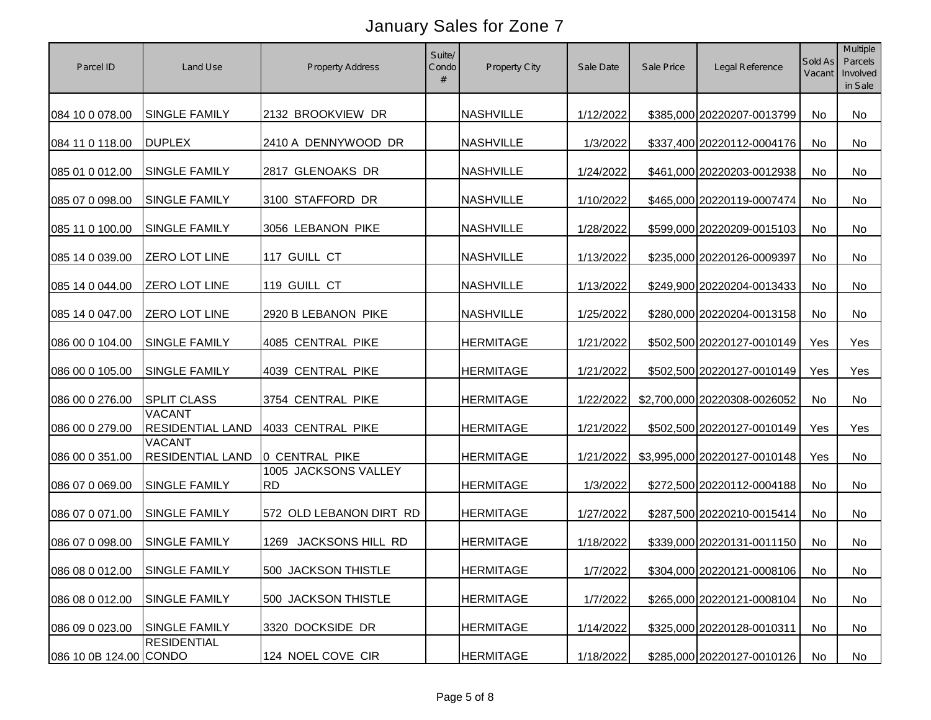| Parcel ID                     | Land Use                                 | <b>Property Address</b>           | Suite/<br>Condo | Property City    | Sale Date | Sale Price | Legal Reference              | Sold As<br>Vacant | Multiple<br>Parcels<br>Involved<br>in Sale |
|-------------------------------|------------------------------------------|-----------------------------------|-----------------|------------------|-----------|------------|------------------------------|-------------------|--------------------------------------------|
| 084 10 0 078.00               | <b>SINGLE FAMILY</b>                     | 2132 BROOKVIEW DR                 |                 | <b>NASHVILLE</b> | 1/12/2022 |            | \$385,000 20220207-0013799   | No                | <b>No</b>                                  |
| 084 11 0 118.00               | <b>DUPLEX</b>                            | 2410 A DENNYWOOD DR               |                 | <b>NASHVILLE</b> | 1/3/2022  |            | \$337,400 20220112-0004176   | No                | No                                         |
| 085 01 0 012.00               | SINGLE FAMILY                            | 2817 GLENOAKS DR                  |                 | <b>NASHVILLE</b> | 1/24/2022 |            | \$461,000 20220203-0012938   | No                | <b>No</b>                                  |
| 085 07 0 098.00               | SINGLE FAMILY                            | 3100 STAFFORD DR                  |                 | <b>NASHVILLE</b> | 1/10/2022 |            | \$465,000 20220119-0007474   | No                | No                                         |
| 085 11 0 100.00               | SINGLE FAMILY                            | 3056 LEBANON PIKE                 |                 | <b>NASHVILLE</b> | 1/28/2022 |            | \$599,000 20220209-0015103   | No                | No                                         |
| 085 14 0 039.00               | <b>ZERO LOT LINE</b>                     | 117 GUILL CT                      |                 | <b>NASHVILLE</b> | 1/13/2022 |            | \$235,000 20220126-0009397   | No                | <b>No</b>                                  |
| 085 14 0 044.00               | ZERO LOT LINE                            | 119 GUILL CT                      |                 | <b>NASHVILLE</b> | 1/13/2022 |            | \$249,900 20220204-0013433   | No                | No                                         |
| 085 14 0 047.00               | <b>ZERO LOT LINE</b>                     | 2920 B LEBANON PIKE               |                 | <b>NASHVILLE</b> | 1/25/2022 |            | \$280,000 20220204-0013158   | No                | No                                         |
| 086 00 0 104.00               | <b>SINGLE FAMILY</b>                     | 4085 CENTRAL PIKE                 |                 | <b>HERMITAGE</b> | 1/21/2022 |            | \$502,500 20220127-0010149   | Yes               | Yes                                        |
| 086 00 0 105.00               | <b>SINGLE FAMILY</b>                     | 4039 CENTRAL PIKE                 |                 | <b>HERMITAGE</b> | 1/21/2022 |            | \$502,500 20220127-0010149   | Yes               | Yes                                        |
| 086 00 0 276.00               | <b>SPLIT CLASS</b>                       | 3754 CENTRAL PIKE                 |                 | <b>HERMITAGE</b> | 1/22/2022 |            | \$2,700,000 20220308-0026052 | No                | No                                         |
| 086 00 0 279.00               | <b>VACANT</b><br><b>RESIDENTIAL LAND</b> | 4033 CENTRAL PIKE                 |                 | <b>HERMITAGE</b> | 1/21/2022 |            | \$502,500 20220127-0010149   | Yes               | Yes                                        |
| 086 00 0 351.00               | <b>VACANT</b><br>RESIDENTIAL LAND        | 0 CENTRAL PIKE                    |                 | <b>HERMITAGE</b> | 1/21/2022 |            | \$3,995,000 20220127-0010148 | Yes               | No                                         |
| 086 07 0 069.00               | SINGLE FAMILY                            | 1005 JACKSONS VALLEY<br><b>RD</b> |                 | <b>HERMITAGE</b> | 1/3/2022  |            | \$272,500 20220112-0004188   | No                | No                                         |
| 086 07 0 071.00               | SINGLE FAMILY                            | 572 OLD LEBANON DIRT RD           |                 | <b>HERMITAGE</b> | 1/27/2022 |            | \$287,500 20220210-0015414   | No                | No                                         |
| 086 07 0 098.00               | <b>SINGLE FAMILY</b>                     | JACKSONS HILL RD<br>1269          |                 | <b>HERMITAGE</b> | 1/18/2022 |            | \$339,000 20220131-0011150   | No                | <b>No</b>                                  |
| 086 08 0 012.00 SINGLE FAMILY |                                          | 500 JACKSON THISTLE               |                 | <b>HERMITAGE</b> | 1/7/2022  |            | \$304,000 20220121-0008106   | No                | No                                         |
| 086 08 0 012.00               | SINGLE FAMILY                            | 500 JACKSON THISTLE               |                 | <b>HERMITAGE</b> | 1/7/2022  |            | \$265,000 20220121-0008104   | No                | No                                         |
| 086 09 0 023.00               | <b>SINGLE FAMILY</b>                     | 3320 DOCKSIDE DR                  |                 | <b>HERMITAGE</b> | 1/14/2022 |            | \$325,000 20220128-0010311   | No                | No                                         |
| 086 10 0B 124.00 CONDO        | <b>RESIDENTIAL</b>                       | 124 NOEL COVE CIR                 |                 | <b>HERMITAGE</b> | 1/18/2022 |            | \$285,000 20220127-0010126   | No                | No                                         |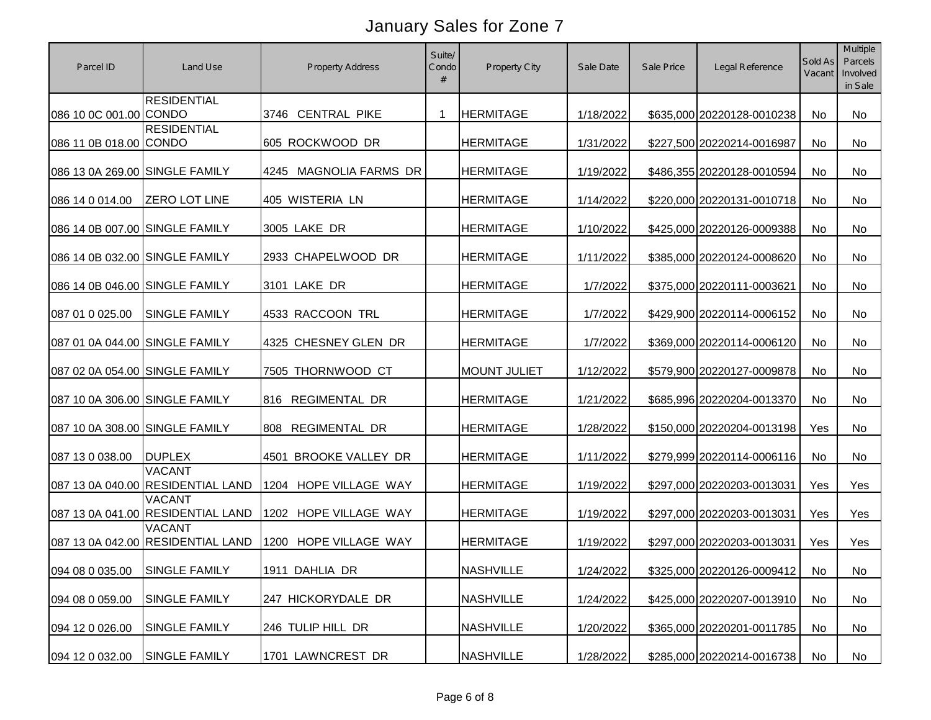| Parcel ID                      | Land Use                                           | <b>Property Address</b> | Suite/<br>Condo<br># | Property City       | Sale Date | Sale Price | Legal Reference            | Sold As<br>Vacant | Multiple<br>Parcels<br>Involved<br>in Sale |
|--------------------------------|----------------------------------------------------|-------------------------|----------------------|---------------------|-----------|------------|----------------------------|-------------------|--------------------------------------------|
| 086 10 0C 001.00 CONDO         | <b>RESIDENTIAL</b>                                 | 3746 CENTRAL PIKE       | -1                   | <b>HERMITAGE</b>    | 1/18/2022 |            | \$635,000 20220128-0010238 | No                | <b>No</b>                                  |
| 086 11 0B 018.00 CONDO         | <b>RESIDENTIAL</b>                                 | 605 ROCKWOOD DR         |                      | <b>HERMITAGE</b>    | 1/31/2022 |            | \$227,500 20220214-0016987 | No                | No                                         |
| 086 13 0A 269.00 SINGLE FAMILY |                                                    | 4245 MAGNOLIA FARMS DR  |                      | <b>HERMITAGE</b>    | 1/19/2022 |            | \$486,355 20220128-0010594 | No                | <b>No</b>                                  |
| 086 14 0 014.00                | <b>ZERO LOT LINE</b>                               | 405 WISTERIA LN         |                      | <b>HERMITAGE</b>    | 1/14/2022 |            | \$220,000 20220131-0010718 | No                | <b>No</b>                                  |
| 086 14 0B 007.00 SINGLE FAMILY |                                                    | 3005 LAKE DR            |                      | <b>HERMITAGE</b>    | 1/10/2022 |            | \$425,000 20220126-0009388 | No                | No                                         |
| 086 14 0B 032.00 SINGLE FAMILY |                                                    | 2933 CHAPELWOOD DR      |                      | <b>HERMITAGE</b>    | 1/11/2022 |            | \$385,000 20220124-0008620 | No                | <b>No</b>                                  |
| 086 14 0B 046.00 SINGLE FAMILY |                                                    | 3101 LAKE DR            |                      | <b>HERMITAGE</b>    | 1/7/2022  |            | \$375,000 20220111-0003621 | No                | No                                         |
| 087 01 0 025.00                | <b>SINGLE FAMILY</b>                               | 4533 RACCOON TRL        |                      | <b>HERMITAGE</b>    | 1/7/2022  |            | \$429,900 20220114-0006152 | No                | No                                         |
| 087 01 0A 044.00 SINGLE FAMILY |                                                    | 4325 CHESNEY GLEN DR    |                      | <b>HERMITAGE</b>    | 1/7/2022  |            | \$369,000 20220114-0006120 | No                | No                                         |
| 087 02 0A 054.00 SINGLE FAMILY |                                                    | 7505 THORNWOOD CT       |                      | <b>MOUNT JULIET</b> | 1/12/2022 |            | \$579,900 20220127-0009878 | No                | <b>No</b>                                  |
| 087 10 0A 306.00 SINGLE FAMILY |                                                    | 816 REGIMENTAL DR       |                      | <b>HERMITAGE</b>    | 1/21/2022 |            | \$685,996 20220204-0013370 | No                | <b>No</b>                                  |
| 087 10 0A 308.00 SINGLE FAMILY |                                                    | REGIMENTAL DR<br>808    |                      | <b>HERMITAGE</b>    | 1/28/2022 |            | \$150,000 20220204-0013198 | Yes               | No                                         |
| 087 13 0 038.00                | <b>DUPLEX</b>                                      | 4501 BROOKE VALLEY DR   |                      | <b>HERMITAGE</b>    | 1/11/2022 |            | \$279,999 20220114-0006116 | No                | No                                         |
|                                | <b>VACANT</b><br>087 13 0A 040.00 RESIDENTIAL LAND | 1204 HOPE VILLAGE WAY   |                      | <b>HERMITAGE</b>    | 1/19/2022 |            | \$297,000 20220203-0013031 | Yes               | Yes                                        |
|                                | <b>VACANT</b><br>087 13 0A 041.00 RESIDENTIAL LAND | 1202 HOPE VILLAGE WAY   |                      | <b>HERMITAGE</b>    | 1/19/2022 |            | \$297,000 20220203-0013031 | Yes               | Yes                                        |
|                                | <b>VACANT</b><br>087 13 0A 042.00 RESIDENTIAL LAND | 1200 HOPE VILLAGE WAY   |                      | <b>HERMITAGE</b>    | 1/19/2022 |            | \$297,000 20220203-0013031 | Yes               | Yes                                        |
| 094 08 0 035.00 SINGLE FAMILY  |                                                    | 1911 DAHLIA DR          |                      | <b>NASHVILLE</b>    | 1/24/2022 |            | \$325,000 20220126-0009412 | No                | No                                         |
| 094 08 0 059.00                | <b>SINGLE FAMILY</b>                               | 247 HICKORYDALE DR      |                      | <b>NASHVILLE</b>    | 1/24/2022 |            | \$425,000 20220207-0013910 | No                | No                                         |
| 094 12 0 026.00                | <b>SINGLE FAMILY</b>                               | 246 TULIP HILL DR       |                      | <b>NASHVILLE</b>    | 1/20/2022 |            | \$365,000 20220201-0011785 | No                | No                                         |
| 094 12 0 032.00                | <b>SINGLE FAMILY</b>                               | 1701 LAWNCREST DR       |                      | <b>NASHVILLE</b>    | 1/28/2022 |            | \$285,000 20220214-0016738 | No                | No                                         |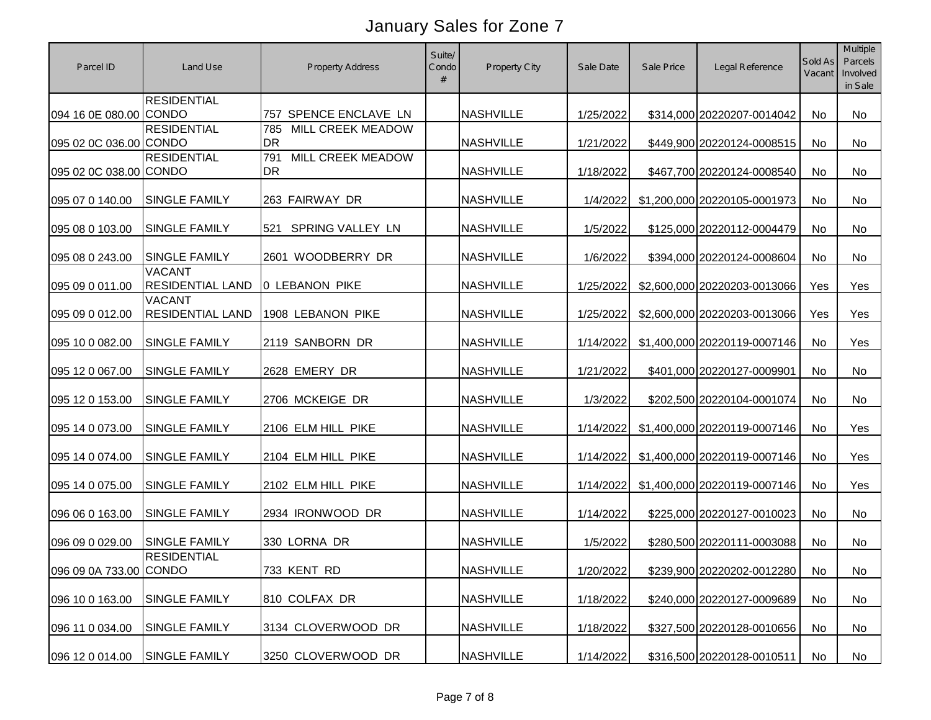| Parcel ID              | Land Use                                 | <b>Property Address</b>               | Suite/<br>Condo | Property City    | Sale Date | Sale Price | Legal Reference              | Sold As<br>Vacant | Multiple<br>Parcels<br>Involved<br>in Sale |
|------------------------|------------------------------------------|---------------------------------------|-----------------|------------------|-----------|------------|------------------------------|-------------------|--------------------------------------------|
| 094 16 0E 080.00 CONDO | <b>RESIDENTIAL</b>                       | 757 SPENCE ENCLAVE LN                 |                 | <b>NASHVILLE</b> | 1/25/2022 |            | \$314,000 20220207-0014042   | No                | No                                         |
| 095 02 0C 036.00 CONDO | <b>RESIDENTIAL</b>                       | MILL CREEK MEADOW<br>785<br>DR        |                 | <b>NASHVILLE</b> | 1/21/2022 |            | \$449,900 20220124-0008515   | No                | No                                         |
| 095 02 0C 038.00 CONDO | <b>RESIDENTIAL</b>                       | MILL CREEK MEADOW<br>791<br><b>DR</b> |                 | <b>NASHVILLE</b> | 1/18/2022 |            | \$467,700 20220124-0008540   | No                | No                                         |
| 095 07 0 140.00        | SINGLE FAMILY                            | 263 FAIRWAY DR                        |                 | <b>NASHVILLE</b> | 1/4/2022  |            | \$1,200,000 20220105-0001973 | No                | No                                         |
| 095 08 0 103.00        | <b>SINGLE FAMILY</b>                     | SPRING VALLEY LN<br>521               |                 | <b>NASHVILLE</b> | 1/5/2022  |            | \$125,000 20220112-0004479   | No                | <b>No</b>                                  |
| 095 08 0 243.00        | <b>SINGLE FAMILY</b>                     | 2601 WOODBERRY DR                     |                 | <b>NASHVILLE</b> | 1/6/2022  |            | \$394,000 20220124-0008604   | No                | No                                         |
| 095 09 0 011.00        | <b>VACANT</b><br><b>RESIDENTIAL LAND</b> | <b>0 LEBANON PIKE</b>                 |                 | <b>NASHVILLE</b> | 1/25/2022 |            | \$2,600,000 20220203-0013066 | Yes               | Yes                                        |
| 095 09 0 012.00        | <b>VACANT</b><br><b>RESIDENTIAL LAND</b> | 1908 LEBANON PIKE                     |                 | <b>NASHVILLE</b> | 1/25/2022 |            | \$2,600,000 20220203-0013066 | Yes               | Yes                                        |
| 095 10 0 082.00        | <b>SINGLE FAMILY</b>                     | 2119 SANBORN DR                       |                 | <b>NASHVILLE</b> | 1/14/2022 |            | \$1,400,000 20220119-0007146 | No                | Yes                                        |
| 095 12 0 067.00        | SINGLE FAMILY                            | 2628 EMERY DR                         |                 | <b>NASHVILLE</b> | 1/21/2022 |            | \$401,000 20220127-0009901   | No                | No                                         |
| 095 12 0 153.00        | <b>SINGLE FAMILY</b>                     | 2706 MCKEIGE DR                       |                 | <b>NASHVILLE</b> | 1/3/2022  |            | \$202,500 20220104-0001074   | No                | <b>No</b>                                  |
| 095 14 0 073.00        | SINGLE FAMILY                            | 2106 ELM HILL PIKE                    |                 | <b>NASHVILLE</b> | 1/14/2022 |            | \$1,400,000 20220119-0007146 | No                | Yes                                        |
| 095 14 0 074.00        | SINGLE FAMILY                            | 2104 ELM HILL PIKE                    |                 | <b>NASHVILLE</b> | 1/14/2022 |            | \$1,400,000 20220119-0007146 | No                | Yes                                        |
| 095 14 0 075.00        | SINGLE FAMILY                            | 2102 ELM HILL PIKE                    |                 | <b>NASHVILLE</b> | 1/14/2022 |            | \$1,400,000 20220119-0007146 | No                | Yes                                        |
| 096 06 0 163.00        | <b>SINGLE FAMILY</b>                     | 2934 IRONWOOD DR                      |                 | <b>NASHVILLE</b> | 1/14/2022 |            | \$225,000 20220127-0010023   | No                | No                                         |
| 096 09 0 029.00        | <b>SINGLE FAMILY</b>                     | 330 LORNA DR                          |                 | <b>NASHVILLE</b> | 1/5/2022  |            | \$280,500 20220111-0003088   | No                | No                                         |
| 096 09 0A 733.00 CONDO | <b>RESIDENTIAL</b>                       | 733 KENT RD                           |                 | <b>NASHVILLE</b> | 1/20/2022 |            | \$239,900 20220202-0012280   | No                | No                                         |
| 096 10 0 163.00        | <b>SINGLE FAMILY</b>                     | 810 COLFAX DR                         |                 | <b>NASHVILLE</b> | 1/18/2022 |            | \$240,000 20220127-0009689   | No                | No                                         |
| 096 11 0 034.00        | SINGLE FAMILY                            | 3134 CLOVERWOOD DR                    |                 | <b>NASHVILLE</b> | 1/18/2022 |            | \$327,500 20220128-0010656   | No                | No                                         |
| 096 12 0 014.00        | SINGLE FAMILY                            | 3250 CLOVERWOOD DR                    |                 | <b>NASHVILLE</b> | 1/14/2022 |            | \$316,500 20220128-0010511   | No                | No                                         |